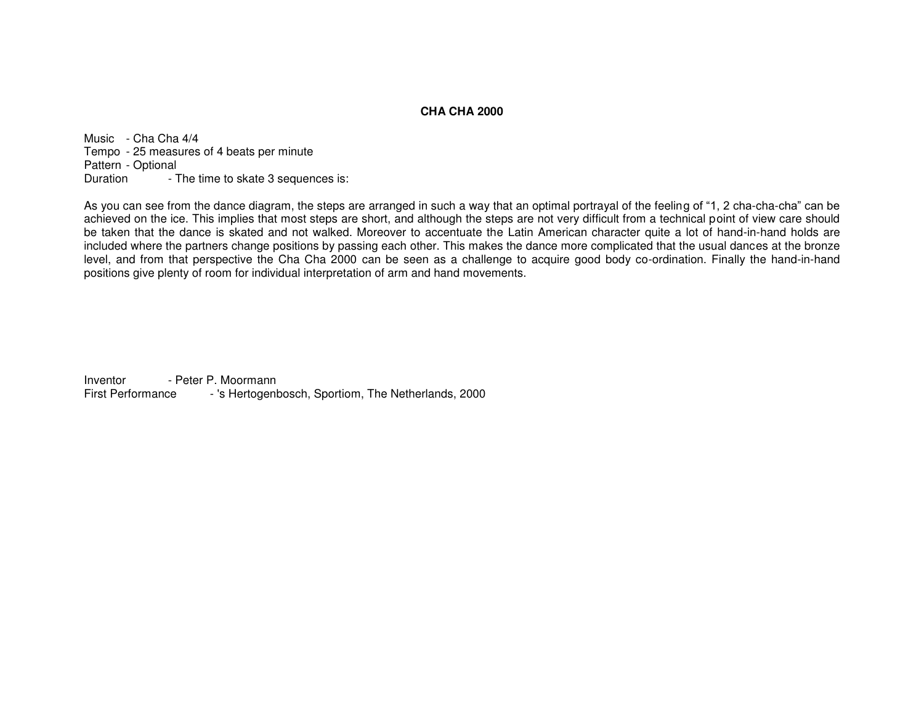## **CHA CHA 2000**

Music - Cha Cha 4/4 Tempo - 25 measures of 4 beats per minute Pattern - Optional Duration - The time to skate 3 sequences is:

As you can see from the dance diagram, the steps are arranged in such a way that an optimal portrayal of the feeling of "1, 2 cha-cha-cha" can be achieved on the ice. This implies that most steps are short, and although the steps are not very difficult from a technical point of view care should be taken that the dance is skated and not walked. Moreover to accentuate the Latin American character quite a lot of hand-in-hand holds are included where the partners change positions by passing each other. This makes the dance more complicated that the usual dances at the bronze level, and from that perspective the Cha Cha 2000 can be seen as a challenge to acquire good body co-ordination. Finally the hand-in-hand positions give plenty of room for individual interpretation of arm and hand movements.

Inventor - Peter P. Moormann First Performance - 's Hertogenbosch, Sportiom, The Netherlands, 2000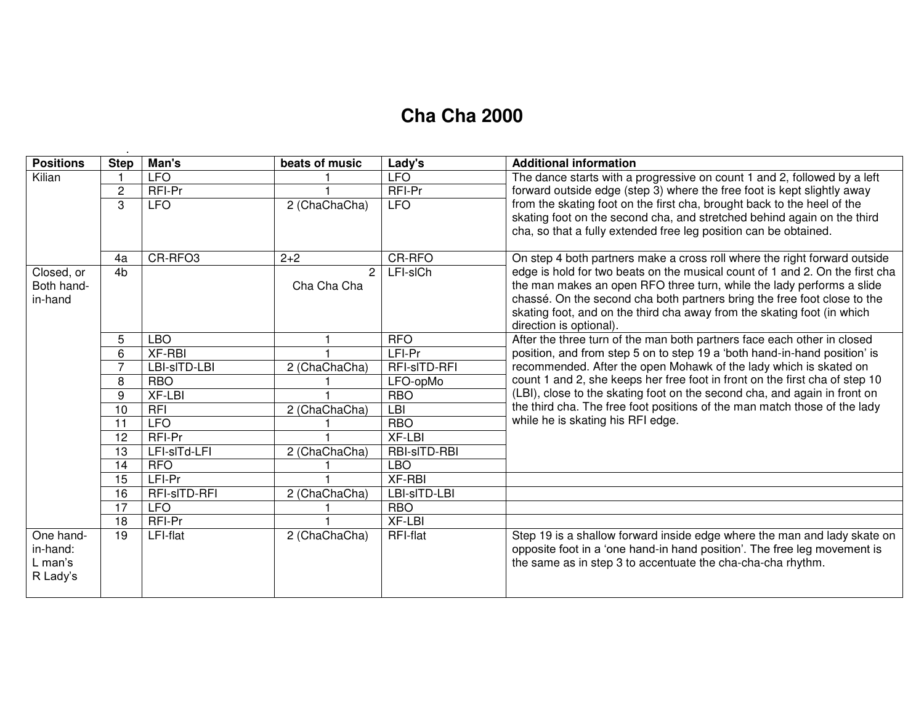## **Cha Cha 2000**

| <b>Positions</b>      | <b>Step</b>    | Man's               | beats of music | Lady's          | <b>Additional information</b>                                                                                                                                                                                                                                                                                                                                                                                                                                      |
|-----------------------|----------------|---------------------|----------------|-----------------|--------------------------------------------------------------------------------------------------------------------------------------------------------------------------------------------------------------------------------------------------------------------------------------------------------------------------------------------------------------------------------------------------------------------------------------------------------------------|
| Kilian                |                | <b>LFO</b>          |                | <b>LFO</b>      | The dance starts with a progressive on count 1 and 2, followed by a left<br>forward outside edge (step 3) where the free foot is kept slightly away                                                                                                                                                                                                                                                                                                                |
|                       | 2              | RFI-Pr              |                | RFI-Pr          |                                                                                                                                                                                                                                                                                                                                                                                                                                                                    |
|                       | 3              | <b>LFO</b>          | 2 (ChaChaCha)  | <b>LFO</b>      | from the skating foot on the first cha, brought back to the heel of the                                                                                                                                                                                                                                                                                                                                                                                            |
|                       |                |                     |                |                 | skating foot on the second cha, and stretched behind again on the third                                                                                                                                                                                                                                                                                                                                                                                            |
|                       |                |                     |                |                 | cha, so that a fully extended free leg position can be obtained.                                                                                                                                                                                                                                                                                                                                                                                                   |
|                       | 4a             | CR-RFO <sub>3</sub> | $2 + 2$        | <b>CR-RFO</b>   | On step 4 both partners make a cross roll where the right forward outside                                                                                                                                                                                                                                                                                                                                                                                          |
| Closed, or            | 4 <sub>b</sub> |                     | $\overline{2}$ | LFI-sICh        | edge is hold for two beats on the musical count of 1 and 2. On the first cha                                                                                                                                                                                                                                                                                                                                                                                       |
| Both hand-            |                |                     | Cha Cha Cha    |                 | the man makes an open RFO three turn, while the lady performs a slide                                                                                                                                                                                                                                                                                                                                                                                              |
| in-hand               |                |                     |                |                 | chassé. On the second cha both partners bring the free foot close to the                                                                                                                                                                                                                                                                                                                                                                                           |
|                       |                |                     |                |                 | skating foot, and on the third cha away from the skating foot (in which                                                                                                                                                                                                                                                                                                                                                                                            |
|                       |                |                     |                |                 | direction is optional).                                                                                                                                                                                                                                                                                                                                                                                                                                            |
|                       | 5              | <b>LBO</b>          |                | <b>RFO</b>      | After the three turn of the man both partners face each other in closed<br>position, and from step 5 on to step 19 a 'both hand-in-hand position' is<br>recommended. After the open Mohawk of the lady which is skated on<br>count 1 and 2, she keeps her free foot in front on the first cha of step 10<br>(LBI), close to the skating foot on the second cha, and again in front on<br>the third cha. The free foot positions of the man match those of the lady |
|                       | 6              | <b>XF-RBI</b>       |                | LFI-Pr          |                                                                                                                                                                                                                                                                                                                                                                                                                                                                    |
|                       | $\overline{7}$ | LBI-sITD-LBI        | 2 (ChaChaCha)  | RFI-sITD-RFI    |                                                                                                                                                                                                                                                                                                                                                                                                                                                                    |
|                       | 8              | <b>RBO</b>          |                | LFO-opMo        |                                                                                                                                                                                                                                                                                                                                                                                                                                                                    |
|                       | 9              | XF-LBI              |                | <b>RBO</b>      |                                                                                                                                                                                                                                                                                                                                                                                                                                                                    |
|                       | 10             | RFI                 | 2 (ChaChaCha)  | $L$ BI          |                                                                                                                                                                                                                                                                                                                                                                                                                                                                    |
|                       | 11             | <b>LFO</b>          |                | <b>RBO</b>      | while he is skating his RFI edge.                                                                                                                                                                                                                                                                                                                                                                                                                                  |
|                       | 12             | RFI-Pr              |                | <b>XF-LBI</b>   |                                                                                                                                                                                                                                                                                                                                                                                                                                                                    |
|                       | 13             | LFI-sITd-LFI        | 2 (ChaChaCha)  | RBI-sITD-RBI    |                                                                                                                                                                                                                                                                                                                                                                                                                                                                    |
|                       | 14             | <b>RFO</b>          |                | <b>LBO</b>      |                                                                                                                                                                                                                                                                                                                                                                                                                                                                    |
|                       | 15             | LFI-Pr              |                | $XF-RBI$        |                                                                                                                                                                                                                                                                                                                                                                                                                                                                    |
|                       | 16             | RFI-sITD-RFI        | 2 (ChaChaCha)  | LBI-sITD-LBI    |                                                                                                                                                                                                                                                                                                                                                                                                                                                                    |
|                       | 17             | <b>LFO</b>          |                | <b>RBO</b>      |                                                                                                                                                                                                                                                                                                                                                                                                                                                                    |
|                       | 18             | RFI-Pr              |                | <b>XF-LBI</b>   |                                                                                                                                                                                                                                                                                                                                                                                                                                                                    |
| One hand-<br>in-hand: | 19             | <b>LFI-flat</b>     | 2 (ChaChaCha)  | <b>RFI-flat</b> | Step 19 is a shallow forward inside edge where the man and lady skate on<br>opposite foot in a 'one hand-in hand position'. The free leg movement is                                                                                                                                                                                                                                                                                                               |
|                       |                |                     |                |                 |                                                                                                                                                                                                                                                                                                                                                                                                                                                                    |
| R Lady's              |                |                     |                |                 |                                                                                                                                                                                                                                                                                                                                                                                                                                                                    |
|                       |                |                     |                |                 |                                                                                                                                                                                                                                                                                                                                                                                                                                                                    |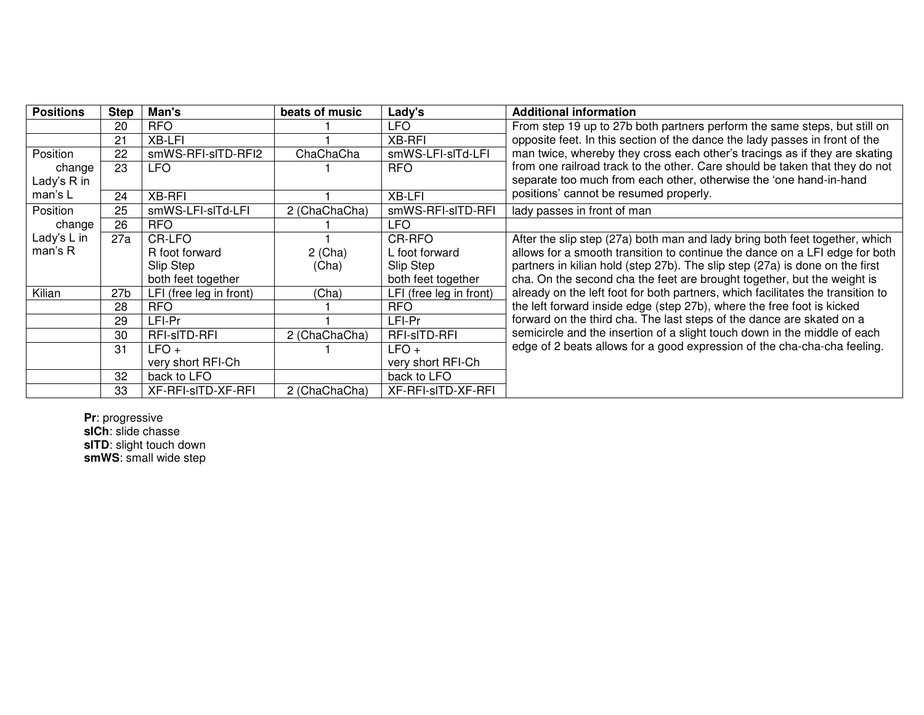| <b>Positions</b> | <b>Step</b>     | Man's                   | beats of music | Lady's                  | <b>Additional information</b>                                                   |
|------------------|-----------------|-------------------------|----------------|-------------------------|---------------------------------------------------------------------------------|
|                  | 20              | <b>RFO</b>              |                | <b>LFO</b>              | From step 19 up to 27b both partners perform the same steps, but still on       |
|                  | 21              | XB-LFI                  |                | <b>XB-RFI</b>           | opposite feet. In this section of the dance the lady passes in front of the     |
| Position         | 22              | smWS-RFI-sITD-RFI2      | ChaChaCha      | smWS-LFI-slTd-LFI       | man twice, whereby they cross each other's tracings as if they are skating      |
| change           | 23              | <b>LFO</b>              |                | <b>RFO</b>              | from one railroad track to the other. Care should be taken that they do not     |
| Lady's R in      |                 |                         |                |                         | separate too much from each other, otherwise the 'one hand-in-hand              |
| man's L          | 24              | <b>XB-RFI</b>           |                | XB-LFI                  | positions' cannot be resumed properly.                                          |
| Position         | 25              | smWS-LFI-slTd-LFI       | 2 (ChaChaCha)  | smWS-RFI-sITD-RFI       | lady passes in front of man                                                     |
| change           | 26              | RFO.                    |                | <b>LFO</b>              |                                                                                 |
| Lady's L in      | 27a             | CR-LFO                  |                | CR-RFO                  | After the slip step (27a) both man and lady bring both feet together, which     |
| man's R          |                 | R foot forward          | $2$ (Cha)      | L foot forward          | allows for a smooth transition to continue the dance on a LFI edge for both     |
|                  |                 | Slip Step               | (Cha)          | Slip Step               | partners in kilian hold (step 27b). The slip step (27a) is done on the first    |
|                  |                 | both feet together      |                | both feet together      | cha. On the second cha the feet are brought together, but the weight is         |
| Kilian           | 27 <sub>b</sub> | LFI (free leg in front) | (Cha)          | LFI (free leg in front) | already on the left foot for both partners, which facilitates the transition to |
|                  | 28              | <b>RFO</b>              |                | <b>RFO</b>              | the left forward inside edge (step 27b), where the free foot is kicked          |
|                  | 29              | LFI-Pr                  |                | LFI-Pr                  | forward on the third cha. The last steps of the dance are skated on a           |
|                  | 30              | RFI-sITD-RFI            | 2 (ChaChaCha)  | RFI-sITD-RFI            | semicircle and the insertion of a slight touch down in the middle of each       |
|                  | 31              | $LFO +$                 |                | $LFO +$                 | edge of 2 beats allows for a good expression of the cha-cha-cha feeling.        |
|                  |                 | very short RFI-Ch       |                | very short RFI-Ch       |                                                                                 |
|                  | 32              | back to LFO             |                | back to LFO             |                                                                                 |
|                  | 33              | XF-RFI-sITD-XF-RFI      | 2 (ChaChaCha)  | XF-RFI-sITD-XF-RFI      |                                                                                 |

**Pr**: progressive **slCh**: slide chasse **slTD**: slight touch down **smWS**: small wide step